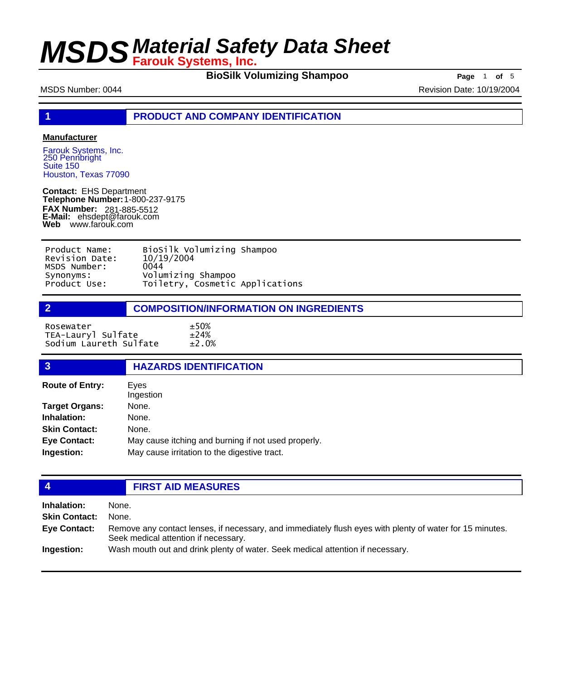**BioSilk Volumizing Shampoo Page** 1 **of** 5

MSDS Number: 0044 **Revision Date: 10/19/2004** Revision Date: 10/19/2004

**1 PRODUCT AND COMPANY IDENTIFICATION**

#### **Manufacturer**

Farouk Systems, Inc. 250 Pennbright Suite 150 Houston, Texas 77090

**Contact:** EHS Department **Telephone Number:** 1-800-237-9175 **FAX Number: FAX Number:** 281-885-5512<br>**E-Mail:** ehsdept@farouk.com **Web** www.farouk.com

| Product Name:  | BioSilk Volumizing Shampoo      |  |
|----------------|---------------------------------|--|
| Revision Date: | 10/19/2004                      |  |
| MSDS Number:   | 0044                            |  |
| Synonyms:      | Volumizing Shampoo              |  |
| Product Use:   | Toiletry, Cosmetic Applications |  |

#### **2 COMPOSITION/INFORMATION ON INGREDIENTS**

Rosewater ±50% TEA-Lauryl Sulfate ±24%<br>Sodium Laureth Sulfate ±2.0% Sodium Laureth Sulfate

| $\overline{3}$         | <b>HAZARDS IDENTIFICATION</b>                       |
|------------------------|-----------------------------------------------------|
| <b>Route of Entry:</b> | Eves<br>Ingestion                                   |
| <b>Target Organs:</b>  | None.                                               |
| Inhalation:            | None.                                               |
| <b>Skin Contact:</b>   | None.                                               |
| <b>Eye Contact:</b>    | May cause itching and burning if not used properly. |
| Ingestion:             | May cause irritation to the digestive tract.        |
|                        |                                                     |

#### **4 FIRST AID MEASURES**

| Inhalation:          | None.                                                                                                                                            |
|----------------------|--------------------------------------------------------------------------------------------------------------------------------------------------|
| <b>Skin Contact:</b> | None.                                                                                                                                            |
| <b>Eve Contact:</b>  | Remove any contact lenses, if necessary, and immediately flush eyes with plenty of water for 15 minutes.<br>Seek medical attention if necessary. |
| Ingestion:           | Wash mouth out and drink plenty of water. Seek medical attention if necessary.                                                                   |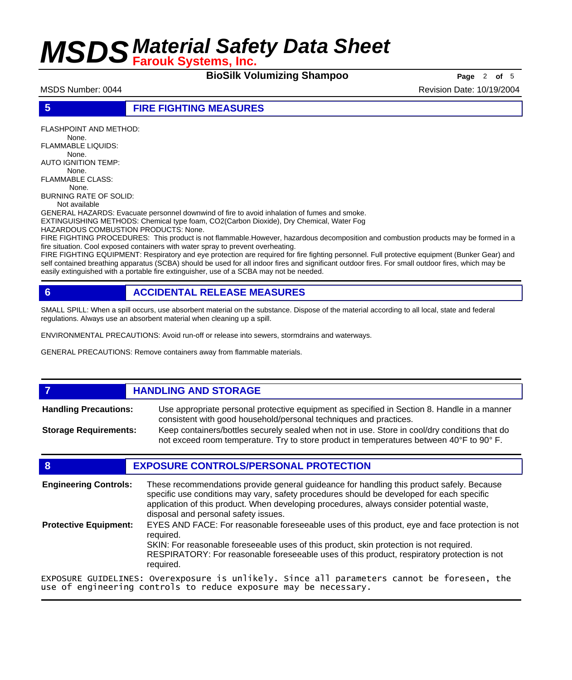**BioSilk Volumizing Shampoo Page** 2 of 5

MSDS Number: 0044 **Revision Date: 10/19/2004** Revision Date: 10/19/2004

**5 FIRE FIGHTING MEASURES**

FLASHPOINT AND METHOD: None. FLAMMABLE LIQUIDS: None. AUTO IGNITION TEMP: None. FLAMMABLE CLASS: None. BURNING RATE OF SOLID: Not available GENERAL HAZARDS: Evacuate personnel downwind of fire to avoid inhalation of fumes and smoke. EXTINGUISHING METHODS: Chemical type foam, CO2(Carbon Dioxide), Dry Chemical, Water Fog HAZARDOUS COMBUSTION PRODUCTS: None. FIRE FIGHTING PROCEDURES: This product is not flammable.However, hazardous decomposition and combustion products may be formed in a

fire situation. Cool exposed containers with water spray to prevent overheating. FIRE FIGHTING EQUIPMENT: Respiratory and eye protection are required for fire fighting personnel. Full protective equipment (Bunker Gear) and self contained breathing apparatus (SCBA) should be used for all indoor fires and significant outdoor fires. For small outdoor fires, which may be easily extinguished with a portable fire extinguisher, use of a SCBA may not be needed.

### **6 ACCIDENTAL RELEASE MEASURES**

SMALL SPILL: When a spill occurs, use absorbent material on the substance. Dispose of the material according to all local, state and federal regulations. Always use an absorbent material when cleaning up a spill.

ENVIRONMENTAL PRECAUTIONS: Avoid run-off or release into sewers, stormdrains and waterways.

GENERAL PRECAUTIONS: Remove containers away from flammable materials.

### *HANDLING AND STORAGE*

Use appropriate personal protective equipment as specified in Section 8. Handle in a manner consistent with good household/personal techniques and practices. **Handling Precautions:** Keep containers/bottles securely sealed when not in use. Store in cool/dry conditions that do **Storage Requirements:**

not exceed room temperature. Try to store product in temperatures between 40°F to 90° F.

#### **8 EXPOSURE CONTROLS/PERSONAL PROTECTION**

| <b>Engineering Controls:</b> | These recommendations provide general guideance for handling this product safely. Because<br>specific use conditions may vary, safety procedures should be developed for each specific<br>application of this product. When developing procedures, always consider potential waste,<br>disposal and personal safety issues. |
|------------------------------|-----------------------------------------------------------------------------------------------------------------------------------------------------------------------------------------------------------------------------------------------------------------------------------------------------------------------------|
| <b>Protective Equipment:</b> | EYES AND FACE: For reasonable foreseeable uses of this product, eye and face protection is not<br>reauired.<br>SKIN: For reasonable foreseeable uses of this product, skin protection is not required.<br>RESPIRATORY: For reasonable foreseeable uses of this product, respiratory protection is not<br>required.          |
|                              | EXPOSURE GUIDELINES: Overexposure is unlikely. Since all parameters cannot be foreseen, the                                                                                                                                                                                                                                 |

EXPOSURE GUIDELINES: Overexposure is unlikely. Since all parameters cannot be foreseen, the use of engineering controls to reduce exposure may be necessary.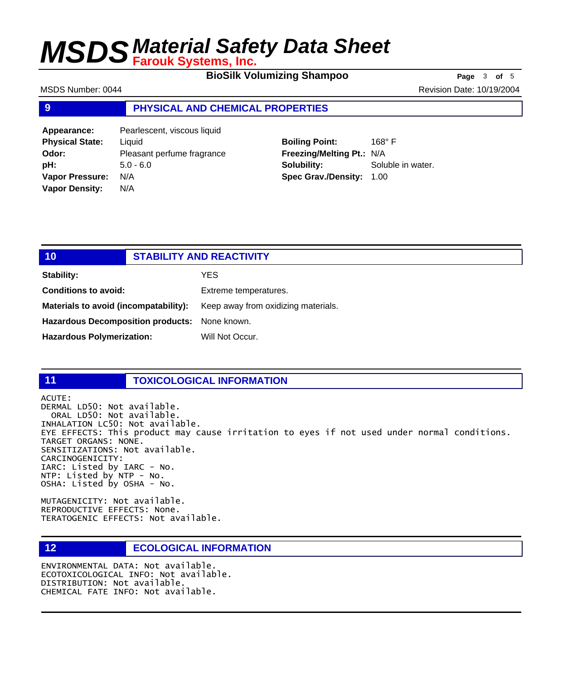**BioSilk Volumizing Shampoo** Page 3 of 5

MSDS Number: 0044 **Revision Date: 10/19/2004** Revision Date: 10/19/2004

#### **9 PHYSICAL AND CHEMICAL PROPERTIES**

**Appearance:** Pearlescent, viscous liquid **Physical State:** Liquid **Odor:** Pleasant perfume fragrance **pH:** 5.0 - 6.0 **Vapor Pressure:** N/A **Vapor Density:** N/A

### **Boiling Point:** 168° F **Freezing/Melting Pt.:** N/A **Solubility:** Soluble in water. **Spec Grav./Density:** 1.00

## **10 STABILITY AND REACTIVITY Stability:** YES **Conditions to avoid:** Extreme temperatures. **Materials to avoid (incompatability):** Keep away from oxidizing materials. **Hazardous Decomposition products:** None known. Hazardous Polymerization: Will Not Occur.

#### **11 TOXICOLOGICAL INFORMATION**

ACUTE: DERMAL LD50: Not available. ORAL LD50: Not available. INHALATION LC50: Not available. EYE EFFECTS: This product may cause irritation to eyes if not used under normal conditions. TARGET ORGANS: NONE. SENSITIZATIONS: Not available. CARCINOGENICITY: IARC: Listed by IARC - No. NTP: Listed by NTP - No. OSHA: Listed by OSHA - No.

MUTAGENICITY: Not available. REPRODUCTIVE EFFECTS: None. TERATOGENIC EFFECTS: Not available.

### **12 ECOLOGICAL INFORMATION**

ENVIRONMENTAL DATA: Not available. ECOTOXICOLOGICAL INFO: Not available. DISTRIBUTION: Not available. CHEMICAL FATE INFO: Not available.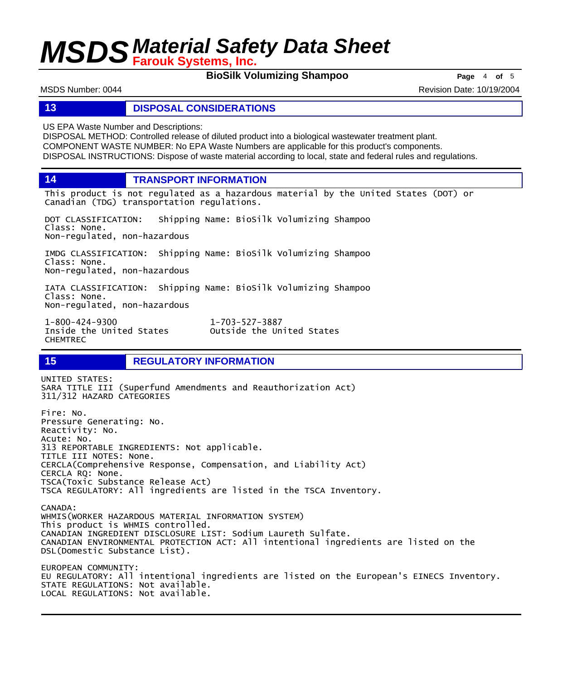**BioSilk Volumizing Shampoo Page** 4 of 5

MSDS Number: 0044 **Revision Date: 10/19/2004** Revision Date: 10/19/2004

#### **13 DISPOSAL CONSIDERATIONS**

US EPA Waste Number and Descriptions:

DISPOSAL METHOD: Controlled release of diluted product into a biological wastewater treatment plant. COMPONENT WASTE NUMBER: No EPA Waste Numbers are applicable for this product's components. DISPOSAL INSTRUCTIONS: Dispose of waste material according to local, state and federal rules and regulations.

**14 TRANSPORT INFORMATION**

This product is not regulated as a hazardous material by the United States (DOT) or Canadian (TDG) transportation regulations.

DOT CLASSIFICATION: Shipping Name: BioSilk Volumizing Shampoo Class: None. Non-regulated, non-hazardous

IMDG CLASSIFICATION: Shipping Name: BioSilk Volumizing Shampoo Class: None. Non-regulated, non-hazardous

IATA CLASSIFICATION: Shipping Name: BioSilk Volumizing Shampoo Class: None. Non-regulated, non-hazardous

1-800-424-9300 1-703-527-3887 CHEMTREC

Outside the United States

### **15 REGULATORY INFORMATION**

UNITED STATES: SARA TITLE III (Superfund Amendments and Reauthorization Act) 311/312 HAZARD CATEGORIES Fire: No. Pressure Generating: No. Reactivity: No. Acute: No. 313 REPORTABLE INGREDIENTS: Not applicable. TITLE III NOTES: None. CERCLA(Comprehensive Response, Compensation, and Liability Act) CERCLA RQ: None. TSCA(Toxic Substance Release Act) TSCA REGULATORY: All ingredients are listed in the TSCA Inventory. CANADA: WHMIS(WORKER HAZARDOUS MATERIAL INFORMATION SYSTEM) This product is WHMIS controlled. CANADIAN INGREDIENT DISCLOSURE LIST: Sodium Laureth Sulfate. CANADIAN ENVIRONMENTAL PROTECTION ACT: All intentional ingredients are listed on the DSL(Domestic Substance List). EUROPEAN COMMUNITY: EU REGULATORY: All intentional ingredients are listed on the European's EINECS Inventory. STATE REGULATIONS: Not available. LOCAL REGULATIONS: Not available.